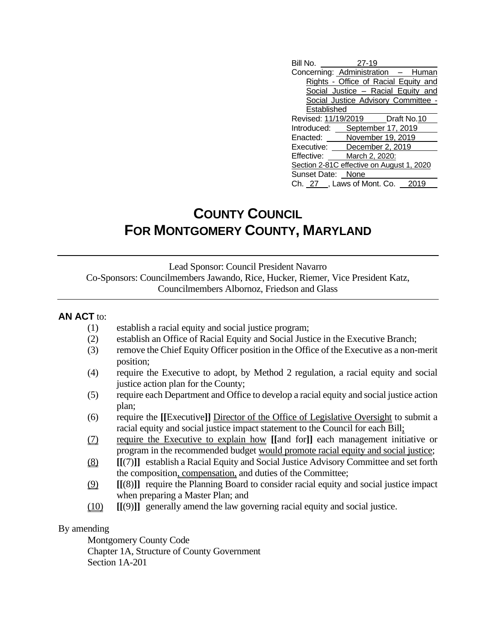| Bill No.                                  | 27-19                                |  |
|-------------------------------------------|--------------------------------------|--|
| Concerning: Administration - Human        |                                      |  |
|                                           | Rights - Office of Racial Equity and |  |
|                                           | Social Justice - Racial Equity and   |  |
|                                           | Social Justice Advisory Committee -  |  |
| Established                               |                                      |  |
| Revised: 11/19/2019    Draft No.10        |                                      |  |
| Introduced: September 17, 2019            |                                      |  |
| Enacted: November 19, 2019                |                                      |  |
| Executive: December 2, 2019               |                                      |  |
| Effective:                                | March 2, 2020:                       |  |
| Section 2-81C effective on August 1, 2020 |                                      |  |
| Sunset Date: None                         |                                      |  |
| Ch. 27 , Laws of Mont. Co. 2019           |                                      |  |

## **COUNTY COUNCIL FOR MONTGOMERY COUNTY, MARYLAND**

Lead Sponsor: Council President Navarro Co-Sponsors: Councilmembers Jawando, Rice, Hucker, Riemer, Vice President Katz, Councilmembers Albornoz, Friedson and Glass

## **AN ACT** to:

- (1) establish a racial equity and social justice program;
- (2) establish an Office of Racial Equity and Social Justice in the Executive Branch;
- (3) remove the Chief Equity Officer position in the Office of the Executive as a non-merit position;
- (4) require the Executive to adopt, by Method 2 regulation, a racial equity and social justice action plan for the County;
- (5) require each Department and Office to develop a racial equity and social justice action plan;
- (6) require the **[[**Executive**]]** Director of the Office of Legislative Oversight to submit a racial equity and social justice impact statement to the Council for each Bill;
- (7) require the Executive to explain how **[[**and for**]]** each management initiative or program in the recommended budget would promote racial equity and social justice;
- (8) **[[**(7)**]]** establish a Racial Equity and Social Justice Advisory Committee and set forth the composition, compensation, and duties of the Committee;
- (9) **[[**(8)**]]** require the Planning Board to consider racial equity and social justice impact when preparing a Master Plan; and
- (10) **[[**(9)**]]** generally amend the law governing racial equity and social justice.

## By amending

Montgomery County Code Chapter 1A, Structure of County Government Section 1A-201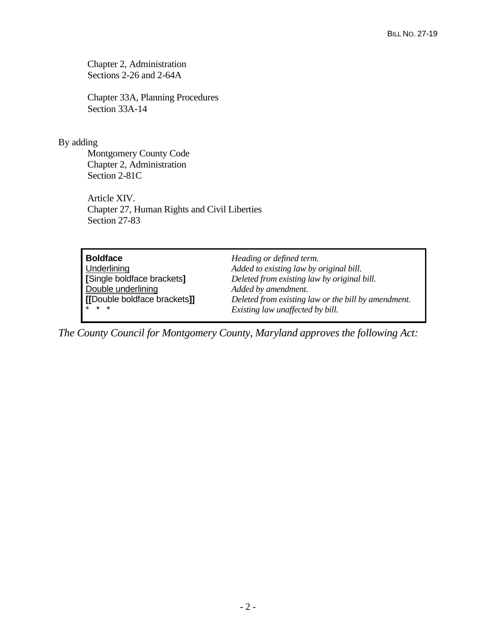Chapter 2, Administration Sections 2-26 and 2-64A

Chapter 33A, Planning Procedures Section 33A-14

## By adding

Montgomery County Code Chapter 2, Administration Section 2-81C

Article XIV. Chapter 27, Human Rights and Civil Liberties Section 27-83

| <b>Boldface</b>                        |
|----------------------------------------|
| Underlining                            |
| [Single boldface brackets]             |
| Double underlining                     |
| [[Double boldface brackets]]<br>÷<br>÷ |
|                                        |

**Heading or defined term.** Added to existing law by original bill. **[**Single boldface brackets**]** *Deleted from existing law by original bill.* Added by amendment. **[[**Double boldface brackets**]]** *Deleted from existing law or the bill by amendment.*  $Existing$  law unaffected by bill.

*The County Council for Montgomery County, Maryland approves the following Act:*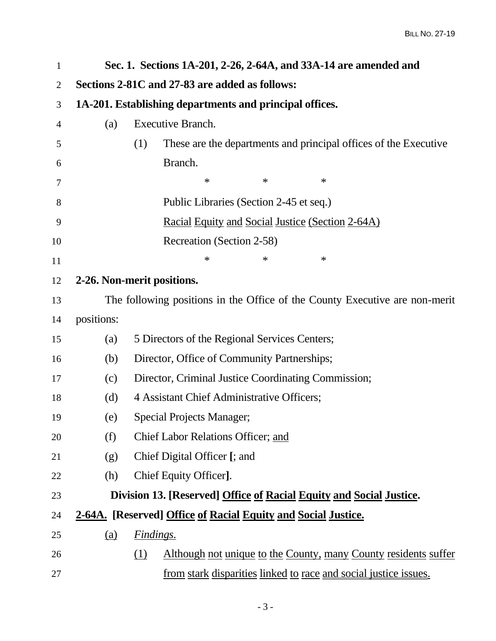| $\mathbf{1}$   |            | Sec. 1. Sections 1A-201, 2-26, 2-64A, and 33A-14 are amended and            |
|----------------|------------|-----------------------------------------------------------------------------|
| $\overline{2}$ |            | Sections 2-81C and 27-83 are added as follows:                              |
| 3              |            | 1A-201. Establishing departments and principal offices.                     |
| 4              | (a)        | <b>Executive Branch.</b>                                                    |
| 5              |            | These are the departments and principal offices of the Executive<br>(1)     |
| 6              |            | Branch.                                                                     |
| 7              |            | $\ast$<br>$\ast$<br>$\ast$                                                  |
| 8              |            | Public Libraries (Section 2-45 et seq.)                                     |
| 9              |            | <u>Racial Equity and Social Justice (Section 2-64A)</u>                     |
| 10             |            | Recreation (Section 2-58)                                                   |
| 11             |            | $\ast$<br>$\ast$<br>$\ast$                                                  |
| 12             |            | 2-26. Non-merit positions.                                                  |
| 13             |            | The following positions in the Office of the County Executive are non-merit |
| 14             | positions: |                                                                             |
| 15             | (a)        | 5 Directors of the Regional Services Centers;                               |
| 16             | (b)        | Director, Office of Community Partnerships;                                 |
| 17             | (c)        | Director, Criminal Justice Coordinating Commission;                         |
| 18             | (d)        | 4 Assistant Chief Administrative Officers;                                  |
| 19             | (e)        | <b>Special Projects Manager;</b>                                            |
| 20             | (f)        | Chief Labor Relations Officer; and                                          |
| 21             | (g)        | Chief Digital Officer [; and                                                |
| 22             | (h)        | Chief Equity Officer].                                                      |
| 23             |            | Division 13. [Reserved] Office of Racial Equity and Social Justice.         |
| 24             |            | 2-64A. [Reserved] Office of Racial Equity and Social Justice.               |
| 25             | <u>(a)</u> | <i><u><b>Findings.</b></u></i>                                              |
| 26             |            | Although not unique to the County, many County residents suffer<br>(1)      |
| 27             |            | <u>from stark disparities linked to race and social justice issues.</u>     |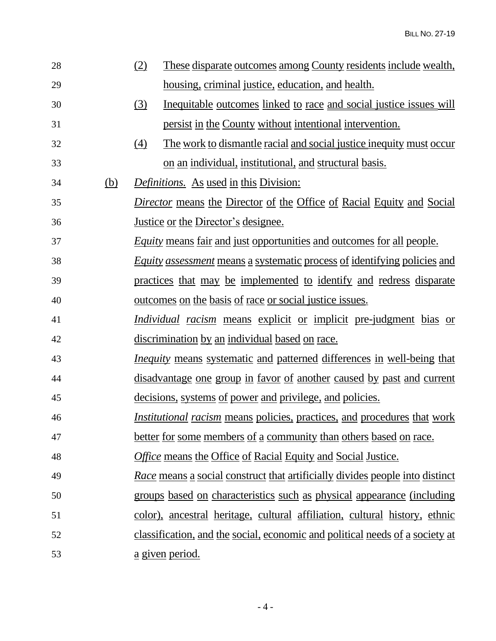| 28 |            | (2)<br><u>These disparate outcomes among County residents include wealth,</u>       |
|----|------------|-------------------------------------------------------------------------------------|
| 29 |            | housing, criminal justice, education, and health.                                   |
| 30 |            | (3)<br>Inequitable outcomes linked to race and social justice issues will           |
| 31 |            | persist in the County without intentional intervention.                             |
| 32 |            | The work to dismantle racial and social justice inequity must occur<br>(4)          |
| 33 |            | on an individual, institutional, and structural basis.                              |
| 34 | <u>(b)</u> | <i>Definitions.</i> As used in this Division:                                       |
| 35 |            | <i>Director</i> means the Director of the Office of Racial Equity and Social        |
| 36 |            | <u>Justice or the Director's designee.</u>                                          |
| 37 |            | <i>Equity</i> means fair and just opportunities and outcomes for all people.        |
| 38 |            | <i>Equity assessment</i> means a systematic process of identifying policies and     |
| 39 |            | practices that may be implemented to identify and redress disparate                 |
| 40 |            | <u>outcomes on the basis of race or social justice issues.</u>                      |
| 41 |            | <i>Individual racism</i> means explicit or implicit pre-judgment bias or            |
| 42 |            | discrimination by an individual based on race.                                      |
| 43 |            | <i>Inequity</i> means systematic and patterned differences in well-being that       |
| 44 |            | <u>disadvantage one group in favor of another caused by past and current</u>        |
| 45 |            | decisions, systems of power and privilege, and policies.                            |
| 46 |            | <i>Institutional racism</i> means policies, practices, and procedures that work     |
| 47 |            | better for some members of a community than others based on race.                   |
| 48 |            | <b>Office means the Office of Racial Equity and Social Justice.</b>                 |
| 49 |            | <u>Race means a social construct that artificially divides people into distinct</u> |
| 50 |            | groups based on characteristics such as physical appearance (including              |
| 51 |            | color), ancestral heritage, cultural affiliation, cultural history, ethnic          |
|    |            |                                                                                     |
| 52 |            | classification, and the social, economic and political needs of a society at        |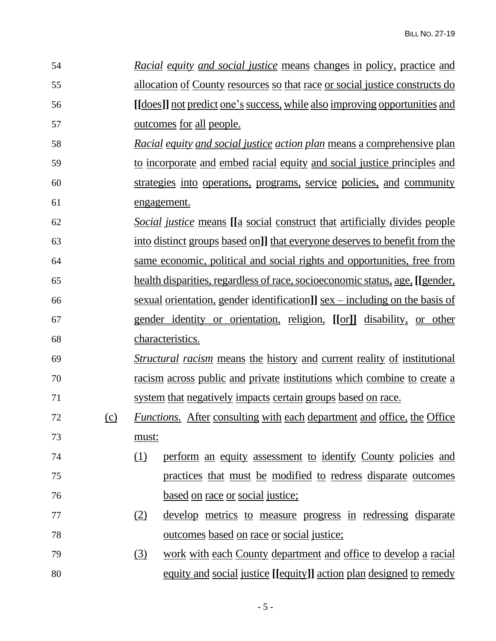| 54 |     | <u>Racial equity and social justice means changes in policy, practice and</u>          |
|----|-----|----------------------------------------------------------------------------------------|
| 55 |     | <u>allocation of County resources so that race or social justice constructs do</u>     |
| 56 |     | <u>[[does]] not predict one's success, while also improving opportunities and</u>      |
| 57 |     | <u>outcomes for all people.</u>                                                        |
| 58 |     | <u>Racial equity and social justice action plan means a comprehensive plan</u>         |
| 59 |     | to incorporate and embed racial equity and social justice principles and               |
| 60 |     | strategies into operations, programs, service policies, and community                  |
| 61 |     | engagement.                                                                            |
| 62 |     | <i>Social justice</i> means [[a social construct that artificially divides people      |
| 63 |     | into distinct groups based on]] that everyone deserves to benefit from the             |
| 64 |     | same economic, political and social rights and opportunities, free from                |
| 65 |     | health disparities, regardless of race, socioeconomic status, age, [[gender,           |
| 66 |     | sexual orientation, gender identification]] $sex - including$ on the basis of          |
| 67 |     | gender identity or orientation, religion, [[or]] disability, or other                  |
| 68 |     | characteristics.                                                                       |
| 69 |     | <i><u>Structural racism</u></i> means the history and current reality of institutional |
| 70 |     | racism across public and private institutions which combine to create a                |
| 71 |     | system that negatively impacts certain groups based on race.                           |
| 72 | (c) | <i>Functions.</i> After consulting with each department and office, the Office         |
| 73 |     | must:                                                                                  |
| 74 |     | perform an equity assessment to identify County policies and<br>(1)                    |
| 75 |     | practices that must be modified to redress disparate outcomes                          |
| 76 |     | based on race or social justice;                                                       |
| 77 |     | develop metrics to measure progress in redressing disparate<br>(2)                     |
| 78 |     | <u>outcomes based on race or social justice;</u>                                       |
| 79 |     | work with each County department and office to develop a racial<br>(3)                 |
| 80 |     | <u>equity and social justice [[equity]] action plan designed to remedy</u>             |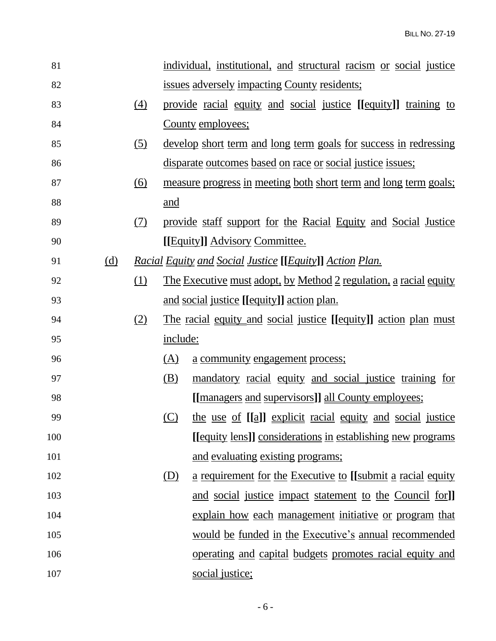| 81  |            |            |          | individual, institutional, and structural racism or social justice       |
|-----|------------|------------|----------|--------------------------------------------------------------------------|
| 82  |            |            |          | <u>issues adversely impacting County residents;</u>                      |
| 83  |            | (4)        |          | provide racial equity and social justice [[equity]] training to          |
| 84  |            |            |          | County employees;                                                        |
| 85  |            | (5)        |          | <u>develop short term and long term goals for success in redressing</u>  |
| 86  |            |            |          | <u>disparate outcomes based on race or social justice issues;</u>        |
| 87  |            | <u>(6)</u> |          | <u>measure progress in meeting both short term and long term goals;</u>  |
| 88  |            |            | and      |                                                                          |
| 89  |            | (7)        |          | provide staff support for the Racial Equity and Social Justice           |
| 90  |            |            |          | [[Equity]] Advisory Committee.                                           |
| 91  | <u>(d)</u> |            |          | <u>Racial Equity and Social Justice [[Equity]] Action Plan.</u>          |
| 92  |            | (1)        |          | <u>The Executive must adopt, by Method 2 regulation, a racial equity</u> |
| 93  |            |            |          | <u>and social justice [[equity]] action plan.</u>                        |
| 94  |            | (2)        |          | <u>The racial equity and social justice [[equity]] action plan must</u>  |
| 95  |            |            | include: |                                                                          |
| 96  |            |            | (A)      | a community engagement process;                                          |
| 97  |            |            | (B)      | mandatory racial equity and social justice training for                  |
| 98  |            |            |          | [[managers and supervisors]] all County employees;                       |
| 99  |            |            | (C)      | the use of [[a]] explicit racial equity and social justice               |
| 100 |            |            |          | [[equity lens]] considerations in establishing new programs              |
| 101 |            |            |          | and evaluating existing programs;                                        |
| 102 |            |            | (D)      | <u>a requirement for the Executive to [[submit a racial equity</u>       |
| 103 |            |            |          | and social justice impact statement to the Council for]                  |
| 104 |            |            |          | explain how each management initiative or program that                   |
| 105 |            |            |          | would be funded in the Executive's annual recommended                    |
| 106 |            |            |          | operating and capital budgets promotes racial equity and                 |
| 107 |            |            |          | social justice;                                                          |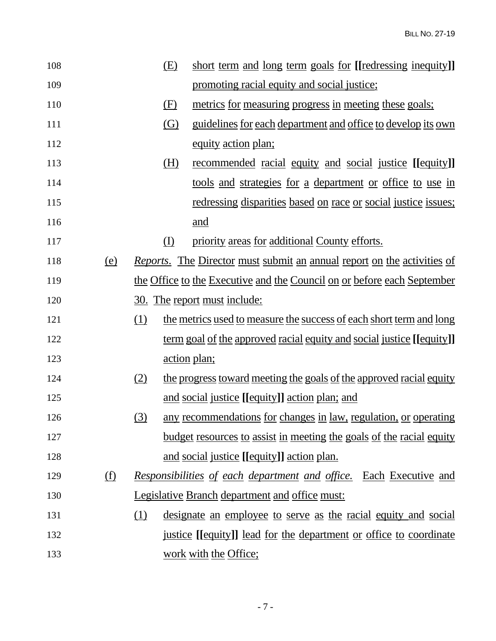| 108 |            | <u>(E)</u> | short term and long term goals for [[redressing inequity]]                     |
|-----|------------|------------|--------------------------------------------------------------------------------|
| 109 |            |            | promoting racial equity and social justice;                                    |
| 110 |            | (F)        | metrics for measuring progress in meeting these goals;                         |
| 111 |            | <u>(G)</u> | <u>guidelines for each department and office to develop its own</u>            |
| 112 |            |            | equity action plan;                                                            |
| 113 |            | <u>(H)</u> | <u>recommended</u> racial equity and social justice [[equity]]                 |
| 114 |            |            | <u>tools and strategies for a department or office to use in</u>               |
| 115 |            |            | <u>redressing disparities based on race or social justice issues;</u>          |
| 116 |            |            | <u>and</u>                                                                     |
| 117 |            | $\Omega$   | priority areas for additional County efforts.                                  |
| 118 | <u>(e)</u> |            | <i>Reports.</i> The Director must submit an annual report on the activities of |
| 119 |            |            | the Office to the Executive and the Council on or before each September        |
| 120 |            |            | <u>30. The report must include:</u>                                            |
| 121 |            | (1)        | the metrics used to measure the success of each short term and long            |
| 122 |            |            | <u>term goal of the approved racial equity and social justice [[equity]]</u>   |
| 123 |            |            | <u>action</u> plan;                                                            |
| 124 |            | (2)        | the progress toward meeting the goals of the approved racial equity            |
| 125 |            |            | and social justice [[equity]] action plan; and                                 |
| 126 |            | (3)        | any recommendations for changes in law, regulation, or operating               |
| 127 |            |            | budget resources to assist in meeting the goals of the racial equity           |
| 128 |            |            | and social justice [[equity]] action plan.                                     |
| 129 | <u>(f)</u> |            | Responsibilities of each department and office. Each Executive and             |
| 130 |            |            | <b>Legislative Branch department and office must:</b>                          |
| 131 |            | (1)        | <u>designate an employee to serve as the racial equity and social</u>          |
| 132 |            |            | <u>justice</u> [[equity]] lead for the department or office to coordinate      |
| 133 |            |            | work with the Office;                                                          |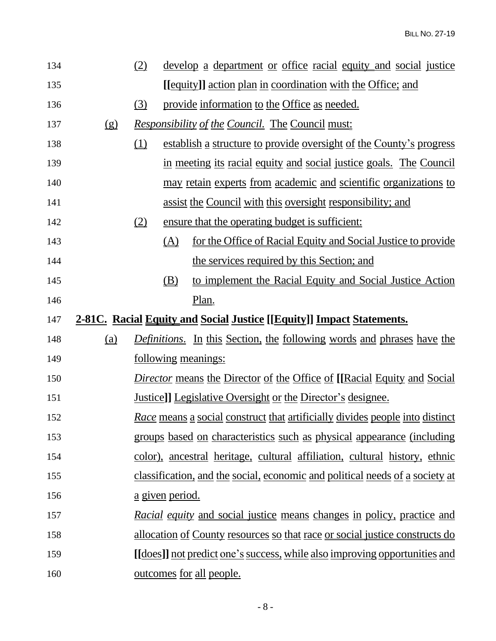| 134 |                                                                                     | (2)                           | <u>develop a department or office racial equity and social justice</u>             |  |  |
|-----|-------------------------------------------------------------------------------------|-------------------------------|------------------------------------------------------------------------------------|--|--|
| 135 |                                                                                     |                               | [[equity]] action plan in coordination with the Office; and                        |  |  |
| 136 |                                                                                     | (3)                           | provide information to the Office as needed.                                       |  |  |
| 137 | (g)                                                                                 |                               | <u>Responsibility of the Council. The Council must:</u>                            |  |  |
| 138 |                                                                                     | $\underline{\underline{(1)}}$ | establish a structure to provide oversight of the County's progress                |  |  |
| 139 |                                                                                     |                               | in meeting its racial equity and social justice goals. The Council                 |  |  |
| 140 |                                                                                     |                               | may retain experts from academic and scientific organizations to                   |  |  |
| 141 |                                                                                     |                               | assist the Council with this oversight responsibility; and                         |  |  |
| 142 |                                                                                     | $\underline{\textcircled{2}}$ | ensure that the operating budget is sufficient:                                    |  |  |
| 143 |                                                                                     | (A)                           | for the Office of Racial Equity and Social Justice to provide                      |  |  |
| 144 |                                                                                     |                               | the services required by this Section; and                                         |  |  |
| 145 |                                                                                     | (B)                           | to implement the Racial Equity and Social Justice Action                           |  |  |
| 146 |                                                                                     |                               | Plan.                                                                              |  |  |
| 147 | <b>2-81C.</b> Racial <b>Equity and Social Justice</b> [[Equity]] Impact Statements. |                               |                                                                                    |  |  |
| 148 | (a)                                                                                 |                               | <i>Definitions.</i> In this Section, the following words and phrases have the      |  |  |
| 149 |                                                                                     |                               | <u>following meanings:</u>                                                         |  |  |
| 150 |                                                                                     |                               | <i>Director</i> means the Director of the Office of [[Racial Equity and Social     |  |  |
| 151 |                                                                                     |                               | Justice]] Legislative Oversight or the Director's designee.                        |  |  |
| 152 |                                                                                     |                               | Race means a social construct that artificially divides people into distinct       |  |  |
| 153 |                                                                                     |                               | groups based on characteristics such as physical appearance (including             |  |  |
| 154 |                                                                                     |                               | color), ancestral heritage, cultural affiliation, cultural history, ethnic         |  |  |
| 155 |                                                                                     |                               | classification, and the social, economic and political needs of a society at       |  |  |
| 156 |                                                                                     | <u>a given period.</u>        |                                                                                    |  |  |
| 157 |                                                                                     |                               | <i>Racial equity</i> and social justice means changes in policy, practice and      |  |  |
|     |                                                                                     |                               | <u>allocation of County resources so that race or social justice constructs do</u> |  |  |
| 158 |                                                                                     |                               |                                                                                    |  |  |
| 159 |                                                                                     |                               | [[does]] not predict one's success, while also improving opportunities and         |  |  |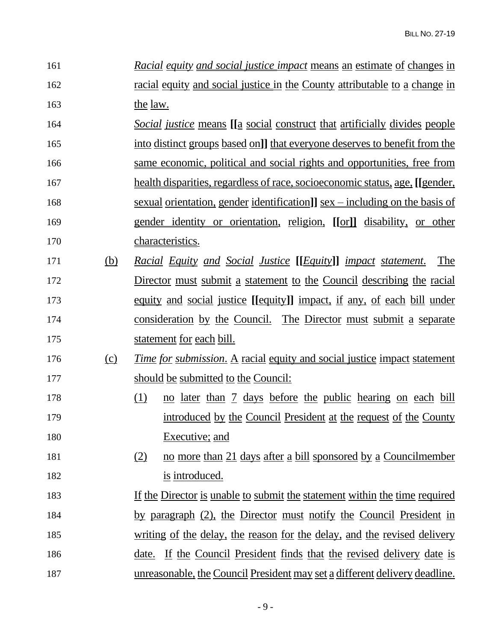| 161 |            | <i>Racial equity and social justice impact</i> means an estimate of changes in         |
|-----|------------|----------------------------------------------------------------------------------------|
| 162 |            | <u>racial equity and social justice in the County attributable to a change in</u>      |
| 163 |            | the law.                                                                               |
| 164 |            | <i>Social justice</i> means [[a social construct that artificially divides people      |
| 165 |            | into distinct groups based on]] that everyone deserves to benefit from the             |
| 166 |            | same economic, political and social rights and opportunities, free from                |
| 167 |            | health disparities, regardless of race, socioeconomic status, age, [[gender,           |
| 168 |            | <u>sexual orientation, gender identification]] sex – including on the basis of</u>     |
| 169 |            | gender identity or orientation, religion, [[or]] disability, or other                  |
| 170 |            | characteristics.                                                                       |
| 171 | <u>(b)</u> | <u>Racial Equity and Social Justice [[Equity]] impact statement.</u><br>The            |
| 172 |            | Director must submit a statement to the Council describing the racial                  |
| 173 |            | <u>equity and social justice</u> [[equity]] impact, if any, of each bill under         |
| 174 |            | <u>consideration by the Council. The Director must submit a separate</u>               |
| 175 |            | statement for each bill.                                                               |
| 176 | <u>(c)</u> | <u><i>Time for submission.</i> A racial equity and social justice impact statement</u> |
| 177 |            | should be submitted to the Council:                                                    |
| 178 |            | (1)<br>no later than 7 days before the public hearing on each bill                     |
| 179 |            | introduced by the Council President at the request of the County                       |
| 180 |            | Executive; and                                                                         |
| 181 |            | (2)<br>no more than 21 days after a bill sponsored by a Councilmember                  |
| 182 |            | is introduced.                                                                         |
| 183 |            | If the Director is unable to submit the statement within the time required             |
| 184 |            | by paragraph (2), the Director must notify the Council President in                    |
| 185 |            | <u>writing of the delay, the reason for the delay, and the revised delivery</u>        |
| 186 |            | <u>date. If the Council President finds that the revised delivery date is</u>          |
| 187 |            | unreasonable, the Council President may set a different delivery deadline.             |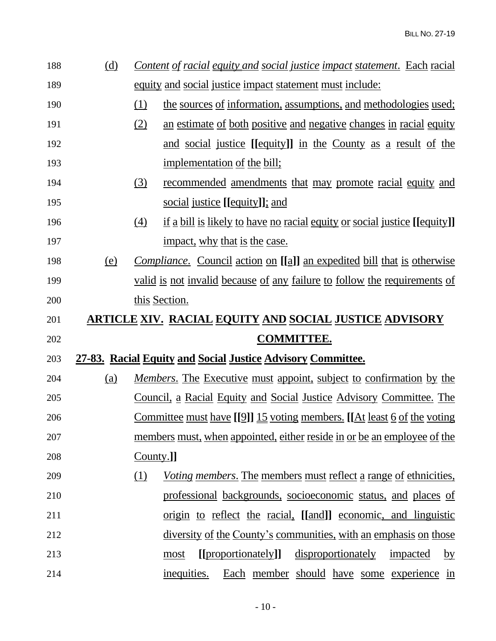| 188 | <u>(d)</u> | <u>Content of racial equity and social justice impact statement. Each racial</u>        |
|-----|------------|-----------------------------------------------------------------------------------------|
| 189 |            | <u>equity and social justice impact statement must include:</u>                         |
| 190 |            | (1)<br>the sources of information, assumptions, and methodologies used;                 |
| 191 |            | (2)<br>an estimate of both positive and negative changes in racial equity               |
| 192 |            | and social justice [[equity]] in the County as a result of the                          |
| 193 |            | implementation of the bill;                                                             |
| 194 |            | (3)<br><u>recommended</u> amendments that may promote racial equity and                 |
| 195 |            | social justice [[equity]]; and                                                          |
| 196 |            | <u>if a bill is likely to have no racial equity or social justice [[equity]]</u><br>(4) |
| 197 |            | impact, why that is the case.                                                           |
| 198 | <u>(e)</u> | <i>Compliance.</i> Council action on [[a]] an expedited bill that is otherwise          |
| 199 |            | valid is not invalid because of any failure to follow the requirements of               |
| 200 |            | this Section.                                                                           |
| 201 |            | <u>ARTICLE XIV. RACIAL EQUITY AND SOCIAL JUSTICE ADVISORY</u>                           |
| 202 |            | <b>COMMITTEE.</b>                                                                       |
| 203 |            | 27-83. Racial Equity and Social Justice Advisory Committee.                             |
| 204 | (a)        | <i>Members</i> . The Executive must appoint, subject to confirmation by the             |
| 205 |            | <u>Council, a Racial Equity and Social Justice Advisory Committee. The</u>              |
| 206 |            | <u>Committee must have [[9]] 15 voting members. [[At least 6 of the voting</u>          |
| 207 |            | members must, when appointed, either reside in or be an employee of the                 |
| 208 |            | County.]                                                                                |
| 209 |            | <i>Voting members.</i> The members must reflect a range of ethnicities,<br>(1)          |
| 210 |            | professional backgrounds, socioeconomic status, and places of                           |
| 211 |            | origin to reflect the racial, [[and]] economic, and linguistic                          |
| 212 |            | diversity of the County's communities, with an emphasis on those                        |
| 213 |            | [[proportionately]]<br>disproportionately<br>impacted<br>most<br>$\overline{by}$        |
| 214 |            | inequities.<br>Each member should have some experience in                               |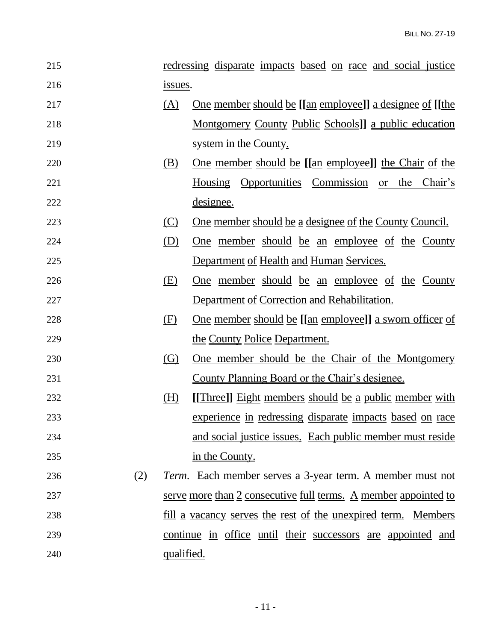| 215 |     |            | <u>redressing disparate impacts based on race and social justice</u> |
|-----|-----|------------|----------------------------------------------------------------------|
| 216 |     | issues.    |                                                                      |
| 217 |     | (A)        | <u>One member should be [[an employee]] a designee of [[the</u>      |
| 218 |     |            | <u>Montgomery County Public Schools]] a public education</u>         |
| 219 |     |            | system in the County.                                                |
| 220 |     | (B)        | <u>One member should be [[an employee]] the Chair of the</u>         |
| 221 |     |            | Housing Opportunities Commission or the Chair's                      |
| 222 |     |            | <u>designee.</u>                                                     |
| 223 |     | (C)        | <u>One member should be a designee of the County Council.</u>        |
| 224 |     | (D)        | <u>One</u> member should be an employee of the County                |
| 225 |     |            | Department of Health and Human Services.                             |
| 226 |     | (E)        | One member should be an employee of the County                       |
| 227 |     |            | Department of Correction and Rehabilitation.                         |
| 228 |     | (F)        | <u>One member should be [[an employee]] a sworn officer of</u>       |
| 229 |     |            | the County Police Department.                                        |
| 230 |     | (G)        | One member should be the Chair of the Montgomery                     |
| 231 |     |            | County Planning Board or the Chair's designee.                       |
| 232 |     | (H)        | [[Three]] Eight members should be a public member with               |
| 233 |     |            | experience in redressing disparate impacts based on race             |
| 234 |     |            | and social justice issues. Each public member must reside            |
| 235 |     |            | in the County.                                                       |
| 236 | (2) |            | Term. Each member serves a 3-year term. A member must not            |
| 237 |     |            | serve more than 2 consecutive full terms. A member appointed to      |
| 238 |     |            | <u>fill a vacancy serves the rest of the unexpired term. Members</u> |
| 239 |     |            | continue in office until their successors are appointed and          |
| 240 |     | qualified. |                                                                      |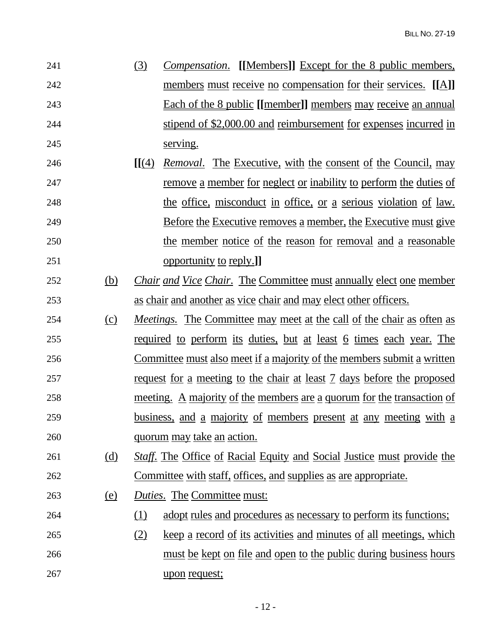| 241 | (3) | <i>Compensation.</i> [[Members]] Except for the 8 public members,    |
|-----|-----|----------------------------------------------------------------------|
| 242 |     | members must receive no compensation for their services. [[A]]       |
| 243 |     | <b>Each of the 8 public [[member]] members may receive an annual</b> |
| 244 |     | stipend of \$2,000.00 and reimbursement for expenses incurred in     |
| 245 |     | serving.                                                             |

- **[[**(4) *Removal*. The Executive, with the consent of the Council, may remove a member for neglect or inability to perform the duties of the office, misconduct in office, or a serious violation of law. Before the Executive removes a member, the Executive must give the member notice of the reason for removal and a reasonable opportunity to reply.**]]**
- (b) *Chair and Vice Chair*. The Committee must annually elect one member as chair and another as vice chair and may elect other officers.
- (c) *Meetings.* The Committee may meet at the call of the chair as often as required to perform its duties, but at least 6 times each year. The Committee must also meet if a majority of the members submit a written request for a meeting to the chair at least 7 days before the proposed meeting. A majority of the members are a quorum for the transaction of business, and a majority of members present at any meeting with a quorum may take an action.
- (d) *Staff*. The Office of Racial Equity and Social Justice must provide the Committee with staff, offices, and supplies as are appropriate.
- (e) *Duties*. The Committee must:
- (1) adopt rules and procedures as necessary to perform its functions;
- (2) keep a record of its activities and minutes of all meetings, which 266 must be kept on file and open to the public during business hours upon request;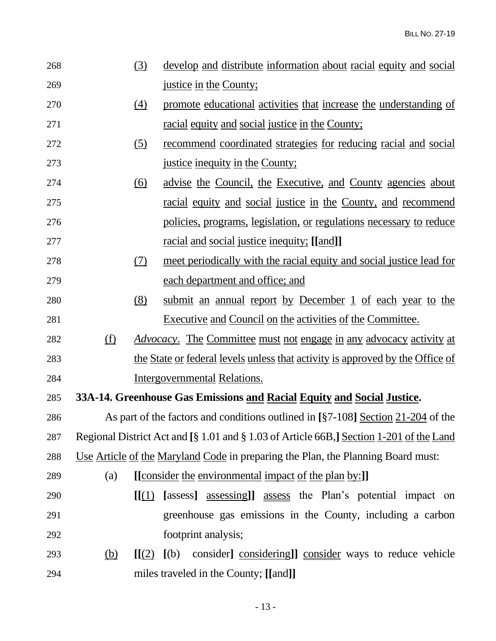| 268 |                                                      | (3)                          | <u>develop and distribute information about racial equity and social</u>                |
|-----|------------------------------------------------------|------------------------------|-----------------------------------------------------------------------------------------|
| 269 |                                                      |                              | justice in the County;                                                                  |
| 270 |                                                      | (4)                          | promote educational activities that increase the understanding of                       |
| 271 |                                                      |                              | <u>racial equity and social justice in the County;</u>                                  |
| 272 |                                                      | <u>(5)</u>                   | recommend coordinated strategies for reducing racial and social                         |
| 273 |                                                      |                              | justice inequity in the County;                                                         |
| 274 |                                                      | (6)                          | <u>advise the Council, the Executive, and County agencies about</u>                     |
| 275 |                                                      |                              | <u>racial equity and social justice in the County, and recommend</u>                    |
| 276 |                                                      |                              | policies, programs, legislation, or regulations necessary to reduce                     |
| 277 |                                                      |                              | <u>racial and social justice inequity; [[and]]</u>                                      |
| 278 |                                                      | (7)                          | meet periodically with the racial equity and social justice lead for                    |
| 279 |                                                      |                              | each department and office; and                                                         |
| 280 |                                                      | (8)                          | submit an annual report by December 1 of each year to the                               |
| 281 |                                                      |                              | Executive and Council on the activities of the Committee.                               |
| 282 | (f)                                                  |                              | <i>Advocacy.</i> The Committee must not engage in any advocacy activity at              |
| 283 |                                                      |                              | the State or federal levels unless that activity is approved by the Office of           |
| 284 |                                                      |                              | Intergovernmental Relations.                                                            |
| 285 |                                                      |                              | 33A-14. Greenhouse Gas Emissions and Racial Equity and Social Justice.                  |
| 286 |                                                      |                              | As part of the factors and conditions outlined in [§7-108] Section 21-204 of the        |
| 287 |                                                      |                              | Regional District Act and [§ 1.01 and § 1.03 of Article 66B,] Section 1-201 of the Land |
| 288 |                                                      |                              | Use Article of the Maryland Code in preparing the Plan, the Planning Board must:        |
| 289 | (a)                                                  |                              | [[consider the environmental impact of the plan by:]]                                   |
| 290 |                                                      | [[(1)]                       | [assess] assessing]] assess the Plan's potential impact on                              |
| 291 |                                                      |                              | greenhouse gas emissions in the County, including a carbon                              |
| 292 |                                                      |                              | footprint analysis;                                                                     |
| 293 | $\underline{\underline{\left(\underline{b}\right)}}$ | $\left[\frac{\pi}{2}\right]$ | consider considering]] consider ways to reduce vehicle<br>(a)                           |
| 294 |                                                      |                              | miles traveled in the County; [[and]]                                                   |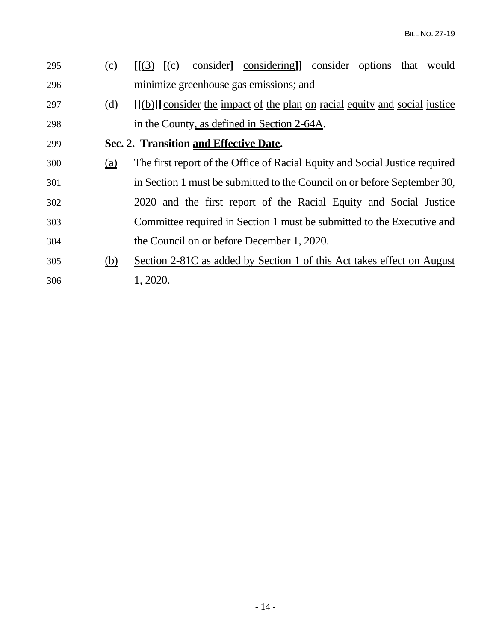| 295 | (c)        | consider considering consider options that would<br>$\llbracket (3) \rrbracket$ (c) |
|-----|------------|-------------------------------------------------------------------------------------|
| 296 |            | minimize greenhouse gas emissions; and                                              |
| 297 | (d)        | [(b)] consider the impact of the plan on racial equity and social justice           |
| 298 |            | in the County, as defined in Section 2-64A.                                         |
| 299 |            | Sec. 2. Transition and Effective Date.                                              |
| 300 | (a)        | The first report of the Office of Racial Equity and Social Justice required         |
| 301 |            | in Section 1 must be submitted to the Council on or before September 30,            |
| 302 |            | 2020 and the first report of the Racial Equity and Social Justice                   |
| 303 |            | Committee required in Section 1 must be submitted to the Executive and              |
| 304 |            | the Council on or before December 1, 2020.                                          |
| 305 | <u>(b)</u> | Section 2-81C as added by Section 1 of this Act takes effect on August              |
| 306 |            | 1, 2020.                                                                            |